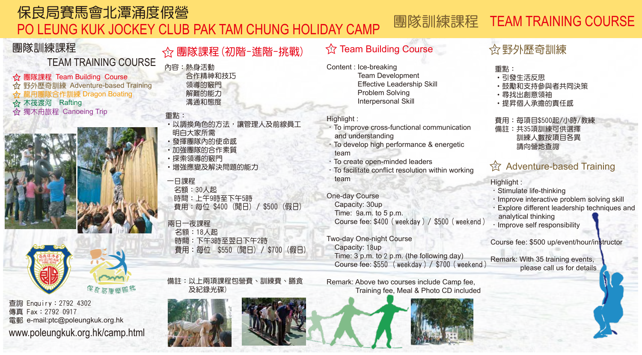# PO LEUNG KUK JOCKEY CLUB PAK TAM CHUNG HOLIDAY CAMP 保良局賽馬會北潭涌度假營<br>PO LEUNC KUK JOCKEY CLUB PAK TAM CHUNC HOLIDAY CAMP,團隊訓練課程

# TEAM TRAINING COURSE

| 團隊訓練課程                                                           | ☆ 團隊課程 (初階-進階-挑戰)                             | ☆ Team Building Course                                                                      | <b><b>☆野外歷奇訓練</b></b>                                              |
|------------------------------------------------------------------|-----------------------------------------------|---------------------------------------------------------------------------------------------|--------------------------------------------------------------------|
| <b>TEAM TRAINING COURSE</b>                                      | 内容:熱身活動                                       | Content : Ice-breaking                                                                      | 重點:                                                                |
| ☆ 團隊課程 Team Building Course<br>☆ 野外歴奇訓練 Adventure-based Training | 合作精神和技巧<br>領導的竅門                              | <b>Team Development</b><br><b>Effective Leadership Skill</b>                                | ·引發生活反思                                                            |
| ☆ 龍舟團隊合作訓練 Dragon Boating                                        | 解難的能力                                         | <b>Problem Solving</b>                                                                      | ・鼓勵和支持參與者共同決策<br>・尋找出創意領袖                                          |
| ☆ 木筏渡河 Rafting                                                   | 溝通和態度                                         | Interpersonal Skill                                                                         | ・提昇個人承擔的責任感                                                        |
| ☆ 獨木舟旅程 Canoeing Trip                                            | 重點:                                           | Highlight:                                                                                  | 費用:每項目\$500起/小時/教練                                                 |
|                                                                  | ·以調換角色的方法,讓管理人及前線員工<br>明白大家所需                 | • To improve cross-functional communication                                                 | 備註:共35項訓練可供選擇                                                      |
|                                                                  | ・發揮團隊內的使命感                                    | and understanding<br>· To develop high performance & energetic                              | 訓練人數按項目各異                                                          |
|                                                                  | ·加強團隊的合作素質                                    | team                                                                                        | 請向營地查詢                                                             |
|                                                                  | ・探索領導的竅門<br>·增強應變及解決問題的能力                     | · To create open-minded leaders<br>· To facilitate conflict resolution within working       | <b>☆ Adventure-based Training</b>                                  |
|                                                                  | 一日課程                                          | team                                                                                        | Highlight:                                                         |
|                                                                  | 名額:30人起                                       |                                                                                             | · Stimulate life-thinking                                          |
|                                                                  | 時間:上午9時至下午5時<br>費用:每位 \$400 (閒日) / \$500 (假日) | One-day Course<br>Capacity: 30up                                                            | · Improve interactive problem solving skill                        |
|                                                                  |                                               | Time: 9a.m. to 5 p.m.                                                                       | Explore different leadership techniques and<br>analytical thinking |
|                                                                  | 兩日一夜課程                                        | Course fee: \$400 (weekday) / \$500 (weekend)                                               | Improve self responsibility                                        |
|                                                                  | 名額:18人起<br>時間:下午3時至翌日下午2時                     | Two-day One-night Course                                                                    | Course fee: \$500 up/event/hour/instructor                         |
|                                                                  | 費用:每位 \$550 (閒日) / \$700 (假日)                 | Capacity: 18up                                                                              |                                                                    |
|                                                                  |                                               | Time: 3 p.m. to 2 p.m. (the following day)<br>Course fee: \$550 (weekday) / \$700 (weekend) | Remark: With 35 training events,                                   |
|                                                                  |                                               |                                                                                             | please call us for details                                         |
|                                                                  | 備註:以上兩項課程包營費、訓練費、膳食<br>及紀錄光碟)                 | Remark: Above two courses include Camp fee,<br>Training fee, Meal & Photo CD included       |                                                                    |
| 查詢 Enquiry: 2792 4302                                            |                                               |                                                                                             |                                                                    |
|                                                                  |                                               |                                                                                             |                                                                    |

傳真 Fax:2792 0917 電郵 e-mail:ptc@poleungkuk.org.hk www.poleungkuk.org.hk/camp.html